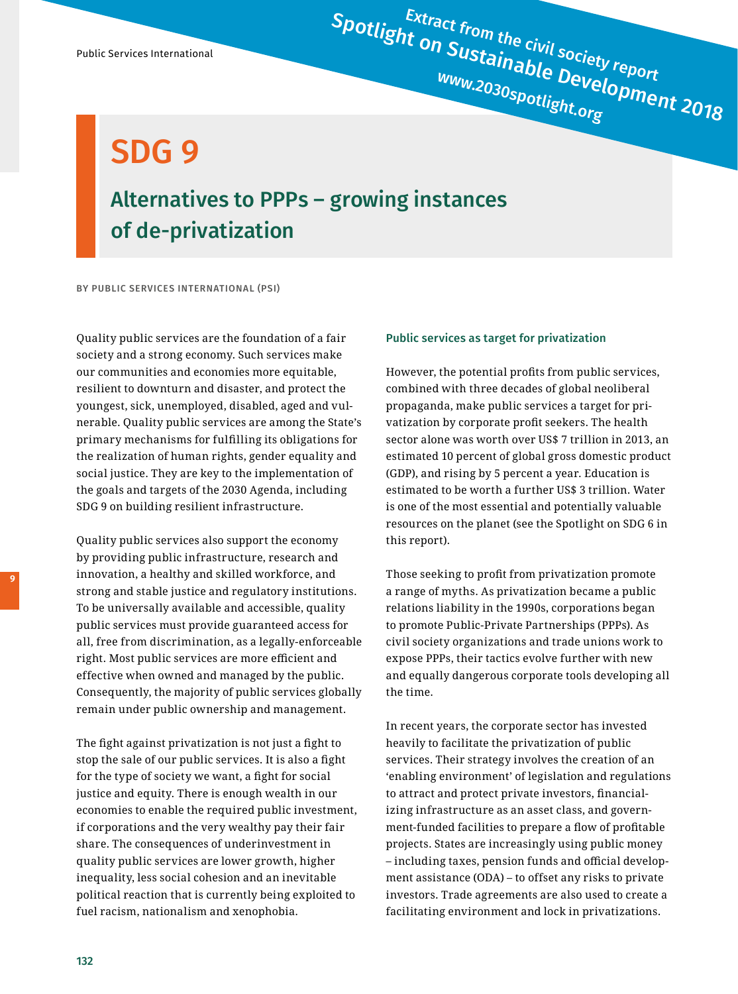Spotlight on Sustainable Development 2018

SDG 9

## Alternatives to PPPs – growing instances of de-privatization

BY PUBLIC SERVICES INTERNATIONAL (PSI)

Quality public services are the foundation of a fair society and a strong economy. Such services make our communities and economies more equitable, resilient to downturn and disaster, and protect the youngest, sick, unemployed, disabled, aged and vulnerable. Quality public services are among the State's primary mechanisms for fulfilling its obligations for the realization of human rights, gender equality and social justice. They are key to the implementation of the goals and targets of the 2030 Agenda, including SDG 9 on building resilient infrastructure.

Quality public services also support the economy by providing public infrastructure, research and innovation, a healthy and skilled workforce, and strong and stable justice and regulatory institutions. To be universally available and accessible, quality public services must provide guaranteed access for all, free from discrimination, as a legally-enforceable right. Most public services are more efficient and effective when owned and managed by the public. Consequently, the majority of public services globally remain under public ownership and management.

The fight against privatization is not just a fight to stop the sale of our public services. It is also a fight for the type of society we want, a fight for social justice and equity. There is enough wealth in our economies to enable the required public investment, if corporations and the very wealthy pay their fair share. The consequences of underinvestment in quality public services are lower growth, higher inequality, less social cohesion and an inevitable political reaction that is currently being exploited to fuel racism, nationalism and xenophobia.

## Public services as target for privatization

However, the potential profits from public services, combined with three decades of global neoliberal propaganda, make public services a target for privatization by corporate profit seekers. The health sector alone was worth over US\$ 7 trillion in 2013, an estimated 10 percent of global gross domestic product (GDP), and rising by 5 percent a year. Education is estimated to be worth a further US\$ 3 trillion. Water is one of the most essential and potentially valuable resources on the planet (see the Spotlight on SDG 6 in this report).

Those seeking to profit from privatization promote a range of myths. As privatization became a public relations liability in the 1990s, corporations began to promote Public-Private Partnerships (PPPs). As civil society organizations and trade unions work to expose PPPs, their tactics evolve further with new and equally dangerous corporate tools developing all the time.

In recent years, the corporate sector has invested heavily to facilitate the privatization of public services. Their strategy involves the creation of an 'enabling environment' of legislation and regulations to attract and protect private investors, financializing infrastructure as an asset class, and government-funded facilities to prepare a flow of profitable projects. States are increasingly using public money – including taxes, pension funds and official development assistance (ODA) – to offset any risks to private investors. Trade agreements are also used to create a facilitating environment and lock in privatizations.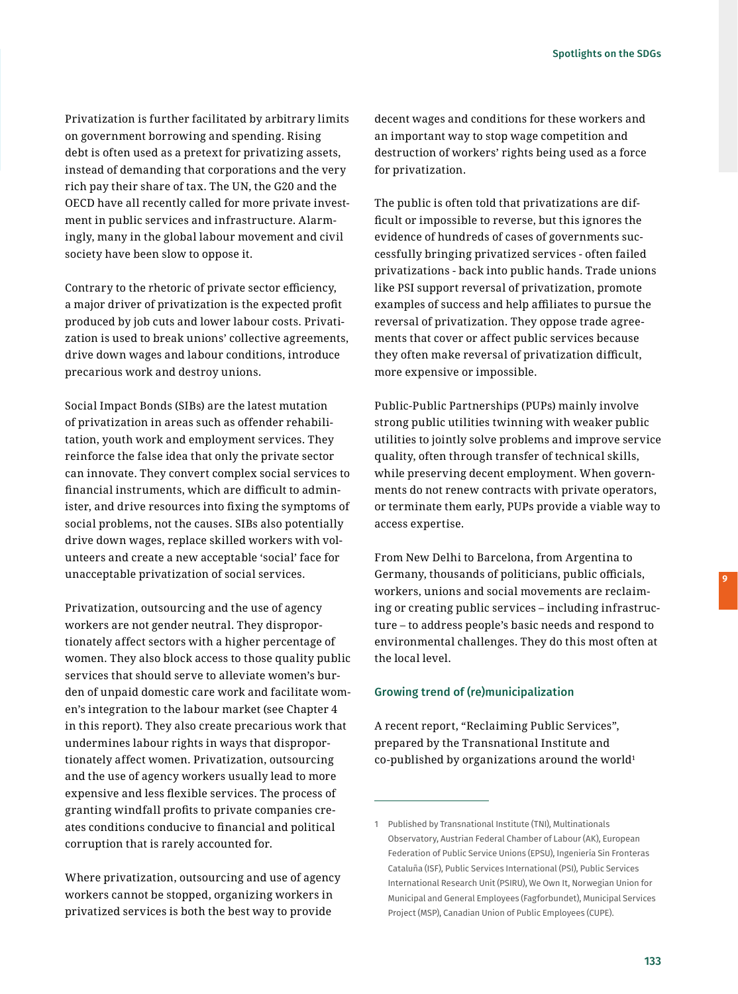Privatization is further facilitated by arbitrary limits on government borrowing and spending. Rising debt is often used as a pretext for privatizing assets, instead of demanding that corporations and the very rich pay their share of tax. The UN, the G20 and the OECD have all recently called for more private investment in public services and infrastructure. Alarmingly, many in the global labour movement and civil society have been slow to oppose it.

Contrary to the rhetoric of private sector efficiency, a major driver of privatization is the expected profit produced by job cuts and lower labour costs. Privatization is used to break unions' collective agreements, drive down wages and labour conditions, introduce precarious work and destroy unions.

Social Impact Bonds (SIBs) are the latest mutation of privatization in areas such as offender rehabilitation, youth work and employment services. They reinforce the false idea that only the private sector can innovate. They convert complex social services to financial instruments, which are difficult to administer, and drive resources into fixing the symptoms of social problems, not the causes. SIBs also potentially drive down wages, replace skilled workers with volunteers and create a new acceptable 'social' face for unacceptable privatization of social services.

Privatization, outsourcing and the use of agency workers are not gender neutral. They disproportionately affect sectors with a higher percentage of women. They also block access to those quality public services that should serve to alleviate women's burden of unpaid domestic care work and facilitate women's integration to the labour market (see Chapter 4 in this report). They also create precarious work that undermines labour rights in ways that disproportionately affect women. Privatization, outsourcing and the use of agency workers usually lead to more expensive and less flexible services. The process of granting windfall profits to private companies creates conditions conducive to financial and political corruption that is rarely accounted for.

Where privatization, outsourcing and use of agency workers cannot be stopped, organizing workers in privatized services is both the best way to provide

decent wages and conditions for these workers and an important way to stop wage competition and destruction of workers' rights being used as a force for privatization.

The public is often told that privatizations are difficult or impossible to reverse, but this ignores the evidence of hundreds of cases of governments successfully bringing privatized services - often failed privatizations - back into public hands. Trade unions like PSI support reversal of privatization, promote examples of success and help affiliates to pursue the reversal of privatization. They oppose trade agreements that cover or affect public services because they often make reversal of privatization difficult, more expensive or impossible.

Public-Public Partnerships (PUPs) mainly involve strong public utilities twinning with weaker public utilities to jointly solve problems and improve service quality, often through transfer of technical skills, while preserving decent employment. When governments do not renew contracts with private operators, or terminate them early, PUPs provide a viable way to access expertise.

From New Delhi to Barcelona, from Argentina to Germany, thousands of politicians, public officials, workers, unions and social movements are reclaiming or creating public services – including infrastructure – to address people's basic needs and respond to environmental challenges. They do this most often at the local level.

## Growing trend of (re)municipalization

A recent report, "Reclaiming Public Services", prepared by the Transnational Institute and co-published by organizations around the world<sup>1</sup>

<sup>1</sup> Published by Transnational Institute (TNI), Multinationals Observatory, Austrian Federal Chamber of Labour (AK), European Federation of Public Service Unions (EPSU), Ingeniería Sin Fronteras Cataluña (ISF), Public Services International (PSI), Public Services International Research Unit (PSIRU), We Own It, Norwegian Union for Municipal and General Employees (Fagforbundet), Municipal Services Project (MSP), Canadian Union of Public Employees (CUPE).